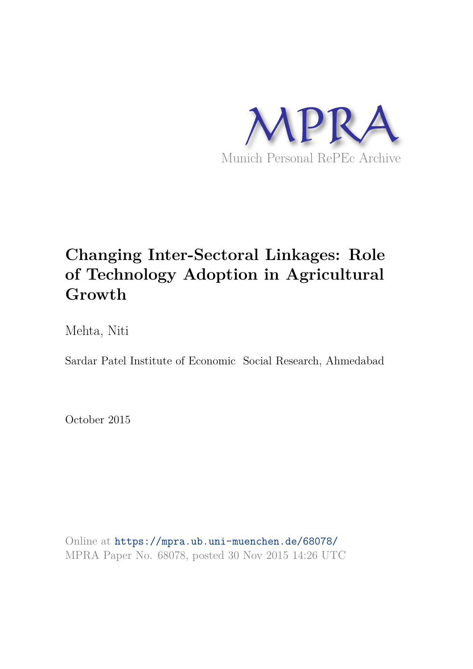

# **Changing Inter-Sectoral Linkages: Role of Technology Adoption in Agricultural Growth**

Mehta, Niti

Sardar Patel Institute of Economic Social Research, Ahmedabad

October 2015

Online at https://mpra.ub.uni-muenchen.de/68078/ MPRA Paper No. 68078, posted 30 Nov 2015 14:26 UTC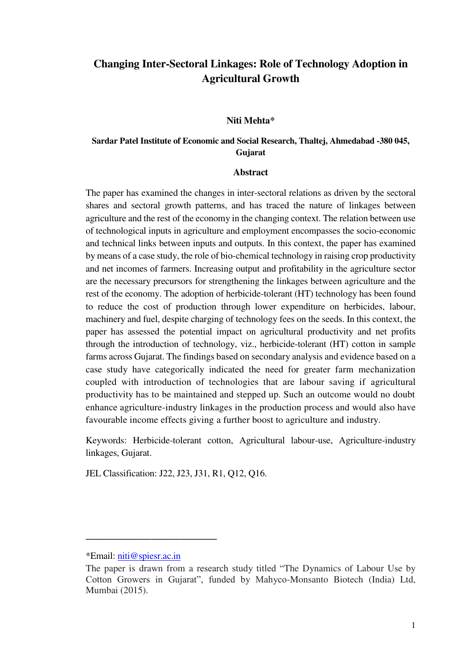## **Changing Inter-Sectoral Linkages: Role of Technology Adoption in Agricultural Growth**

#### **Niti Mehta\***

## **Sardar Patel Institute of Economic and Social Research, Thaltej, Ahmedabad -380 045, Gujarat**

#### **Abstract**

The paper has examined the changes in inter-sectoral relations as driven by the sectoral shares and sectoral growth patterns, and has traced the nature of linkages between agriculture and the rest of the economy in the changing context. The relation between use of technological inputs in agriculture and employment encompasses the socio-economic and technical links between inputs and outputs. In this context, the paper has examined by means of a case study, the role of bio-chemical technology in raising crop productivity and net incomes of farmers. Increasing output and profitability in the agriculture sector are the necessary precursors for strengthening the linkages between agriculture and the rest of the economy. The adoption of herbicide-tolerant (HT) technology has been found to reduce the cost of production through lower expenditure on herbicides, labour, machinery and fuel, despite charging of technology fees on the seeds. In this context, the paper has assessed the potential impact on agricultural productivity and net profits through the introduction of technology, viz., herbicide-tolerant (HT) cotton in sample farms across Gujarat. The findings based on secondary analysis and evidence based on a case study have categorically indicated the need for greater farm mechanization coupled with introduction of technologies that are labour saving if agricultural productivity has to be maintained and stepped up. Such an outcome would no doubt enhance agriculture-industry linkages in the production process and would also have favourable income effects giving a further boost to agriculture and industry.

Keywords: Herbicide-tolerant cotton, Agricultural labour-use, Agriculture-industry linkages, Gujarat.

JEL Classification: J22, J23, J31, R1, Q12, Q16.

**\_\_\_\_\_\_\_\_\_\_\_\_\_\_\_\_\_\_\_\_\_\_\_\_\_\_\_\_** 

<sup>\*</sup>Email: [niti@spiesr.ac.in](mailto:niti@spiesr.ac.in)

The paper is drawn from a research study titled "The Dynamics of Labour Use by Cotton Growers in Gujarat", funded by Mahyco-Monsanto Biotech (India) Ltd, Mumbai (2015).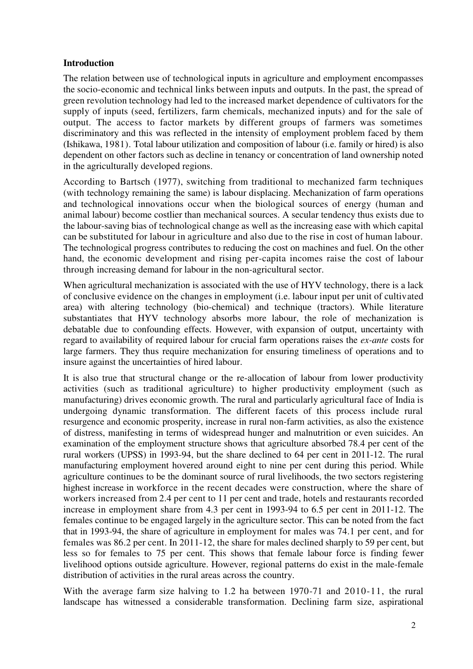## **Introduction**

The relation between use of technological inputs in agriculture and employment encompasses the socio-economic and technical links between inputs and outputs. In the past, the spread of green revolution technology had led to the increased market dependence of cultivators for the supply of inputs (seed, fertilizers, farm chemicals, mechanized inputs) and for the sale of output. The access to factor markets by different groups of farmers was sometimes discriminatory and this was reflected in the intensity of employment problem faced by them (Ishikawa, 1981). Total labour utilization and composition of labour (i.e. family or hired) is also dependent on other factors such as decline in tenancy or concentration of land ownership noted in the agriculturally developed regions.

According to Bartsch (1977), switching from traditional to mechanized farm techniques (with technology remaining the same) is labour displacing. Mechanization of farm operations and technological innovations occur when the biological sources of energy (human and animal labour) become costlier than mechanical sources. A secular tendency thus exists due to the labour-saving bias of technological change as well as the increasing ease with which capital can be substituted for labour in agriculture and also due to the rise in cost of human labour. The technological progress contributes to reducing the cost on machines and fuel. On the other hand, the economic development and rising per-capita incomes raise the cost of labour through increasing demand for labour in the non-agricultural sector.

When agricultural mechanization is associated with the use of HYV technology, there is a lack of conclusive evidence on the changes in employment (i.e. labour input per unit of cultivated area) with altering technology (bio-chemical) and technique (tractors). While literature substantiates that HYV technology absorbs more labour, the role of mechanization is debatable due to confounding effects. However, with expansion of output, uncertainty with regard to availability of required labour for crucial farm operations raises the *ex-ante* costs for large farmers. They thus require mechanization for ensuring timeliness of operations and to insure against the uncertainties of hired labour.

It is also true that structural change or the re-allocation of labour from lower productivity activities (such as traditional agriculture) to higher productivity employment (such as manufacturing) drives economic growth. The rural and particularly agricultural face of India is undergoing dynamic transformation. The different facets of this process include rural resurgence and economic prosperity, increase in rural non-farm activities, as also the existence of distress, manifesting in terms of widespread hunger and malnutrition or even suicides. An examination of the employment structure shows that agriculture absorbed 78.4 per cent of the rural workers (UPSS) in 1993-94, but the share declined to 64 per cent in 2011-12. The rural manufacturing employment hovered around eight to nine per cent during this period. While agriculture continues to be the dominant source of rural livelihoods, the two sectors registering highest increase in workforce in the recent decades were construction, where the share of workers increased from 2.4 per cent to 11 per cent and trade, hotels and restaurants recorded increase in employment share from 4.3 per cent in 1993-94 to 6.5 per cent in 2011-12. The females continue to be engaged largely in the agriculture sector. This can be noted from the fact that in 1993-94, the share of agriculture in employment for males was 74.1 per cent, and for females was 86.2 per cent. In 2011-12, the share for males declined sharply to 59 per cent, but less so for females to 75 per cent. This shows that female labour force is finding fewer livelihood options outside agriculture. However, regional patterns do exist in the male-female distribution of activities in the rural areas across the country.

With the average farm size halving to 1.2 ha between 1970-71 and 2010-11, the rural landscape has witnessed a considerable transformation. Declining farm size, aspirational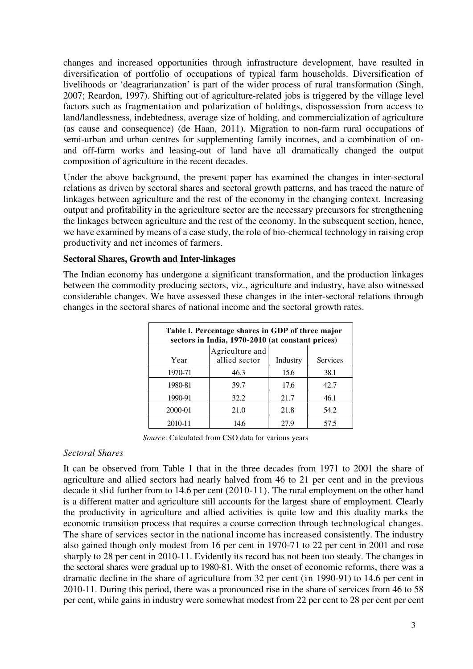changes and increased opportunities through infrastructure development, have resulted in diversification of portfolio of occupations of typical farm households. Diversification of livelihoods or 'deagrarianzation' is part of the wider process of rural transformation (Singh, 2007; Reardon, 1997). Shifting out of agriculture-related jobs is triggered by the village level factors such as fragmentation and polarization of holdings, dispossession from access to land/landlessness, indebtedness, average size of holding, and commercialization of agriculture (as cause and consequence) (de Haan, 2011). Migration to non-farm rural occupations of semi-urban and urban centres for supplementing family incomes, and a combination of onand off-farm works and leasing-out of land have all dramatically changed the output composition of agriculture in the recent decades.

Under the above background, the present paper has examined the changes in inter-sectoral relations as driven by sectoral shares and sectoral growth patterns, and has traced the nature of linkages between agriculture and the rest of the economy in the changing context. Increasing output and profitability in the agriculture sector are the necessary precursors for strengthening the linkages between agriculture and the rest of the economy. In the subsequent section, hence, we have examined by means of a case study, the role of bio-chemical technology in raising crop productivity and net incomes of farmers.

## **Sectoral Shares, Growth and Inter-linkages**

The Indian economy has undergone a significant transformation, and the production linkages between the commodity producing sectors, viz., agriculture and industry, have also witnessed considerable changes. We have assessed these changes in the inter-sectoral relations through changes in the sectoral shares of national income and the sectoral growth rates.

| Table I. Percentage shares in GDP of three major<br>sectors in India, 1970-2010 (at constant prices) |                                  |          |          |  |  |  |
|------------------------------------------------------------------------------------------------------|----------------------------------|----------|----------|--|--|--|
| Year                                                                                                 | Agriculture and<br>allied sector | Industry | Services |  |  |  |
| 1970-71                                                                                              | 46.3                             | 15.6     | 38.1     |  |  |  |
| 1980-81                                                                                              | 39.7                             | 17.6     | 42.7     |  |  |  |
| 1990-91                                                                                              | 32.2                             | 21.7     | 46.1     |  |  |  |
| 2000-01                                                                                              | 21.0                             | 21.8     | 54.2     |  |  |  |
| 2010-11                                                                                              | 14.6                             | 27.9     | 57.5     |  |  |  |

*Source*: Calculated from CSO data for various years

## *Sectoral Shares*

It can be observed from Table 1 that in the three decades from 1971 to 2001 the share of agriculture and allied sectors had nearly halved from 46 to 21 per cent and in the previous decade it slid further from to 14.6 per cent (2010-11). The rural employment on the other hand is a different matter and agriculture still accounts for the largest share of employment. Clearly the productivity in agriculture and allied activities is quite low and this duality marks the economic transition process that requires a course correction through technological changes. The share of services sector in the national income has increased consistently. The industry also gained though only modest from 16 per cent in 1970-71 to 22 per cent in 2001 and rose sharply to 28 per cent in 2010-11. Evidently its record has not been too steady. The changes in the sectoral shares were gradual up to 1980-81. With the onset of economic reforms, there was a dramatic decline in the share of agriculture from 32 per cent (in 1990-91) to 14.6 per cent in 2010-11. During this period, there was a pronounced rise in the share of services from 46 to 58 per cent, while gains in industry were somewhat modest from 22 per cent to 28 per cent per cent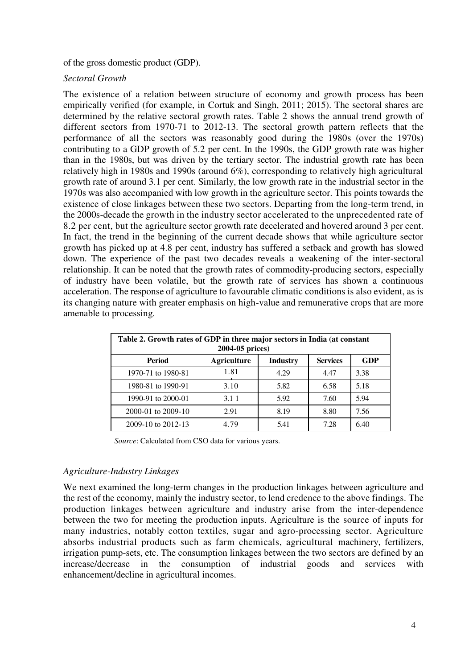of the gross domestic product (GDP).

## *Sectoral Growth*

The existence of a relation between structure of economy and growth process has been empirically verified (for example, in Cortuk and Singh, 2011; 2015). The sectoral shares are determined by the relative sectoral growth rates. Table 2 shows the annual trend growth of different sectors from 1970-71 to 2012-13. The sectoral growth pattern reflects that the performance of all the sectors was reasonably good during the 1980s (over the 1970s) contributing to a GDP growth of 5.2 per cent. In the 1990s, the GDP growth rate was higher than in the 1980s, but was driven by the tertiary sector. The industrial growth rate has been relatively high in 1980s and 1990s (around 6%), corresponding to relatively high agricultural growth rate of around 3.1 per cent. Similarly, the low growth rate in the industrial sector in the 1970s was also accompanied with low growth in the agriculture sector. This points towards the existence of close linkages between these two sectors. Departing from the long-term trend, in the 2000s-decade the growth in the industry sector accelerated to the unprecedented rate of 8.2 per cent, but the agriculture sector growth rate decelerated and hovered around 3 per cent. In fact, the trend in the beginning of the current decade shows that while agriculture sector growth has picked up at 4.8 per cent, industry has suffered a setback and growth has slowed down. The experience of the past two decades reveals a weakening of the inter-sectoral relationship. It can be noted that the growth rates of commodity-producing sectors, especially of industry have been volatile, but the growth rate of services has shown a continuous acceleration. The response of agriculture to favourable climatic conditions is also evident, as is its changing nature with greater emphasis on high-value and remunerative crops that are more amenable to processing.

| Table 2. Growth rates of GDP in three major sectors in India (at constant<br>2004-05 prices) |      |      |      |      |  |  |  |
|----------------------------------------------------------------------------------------------|------|------|------|------|--|--|--|
| <b>Agriculture</b><br><b>Services</b><br><b>GDP</b><br>Period<br><b>Industry</b>             |      |      |      |      |  |  |  |
| 1970-71 to 1980-81                                                                           | 1.81 | 4.29 | 4.47 | 3.38 |  |  |  |
| 1980-81 to 1990-91                                                                           | 3.10 | 5.82 | 6.58 | 5.18 |  |  |  |
| 1990-91 to 2000-01                                                                           | 3.11 | 5.92 | 7.60 | 5.94 |  |  |  |
| 2000-01 to 2009-10                                                                           | 2.91 | 8.19 | 8.80 | 7.56 |  |  |  |
| 2009-10 to 2012-13                                                                           | 4.79 | 5.41 | 7.28 | 6.40 |  |  |  |

*Source*: Calculated from CSO data for various years.

## *Agriculture-Industry Linkages*

We next examined the long-term changes in the production linkages between agriculture and the rest of the economy, mainly the industry sector, to lend credence to the above findings. The production linkages between agriculture and industry arise from the inter-dependence between the two for meeting the production inputs. Agriculture is the source of inputs for many industries, notably cotton textiles, sugar and agro-processing sector. Agriculture absorbs industrial products such as farm chemicals, agricultural machinery, fertilizers, irrigation pump-sets, etc. The consumption linkages between the two sectors are defined by an increase/decrease in the consumption of industrial goods and services with enhancement/decline in agricultural incomes.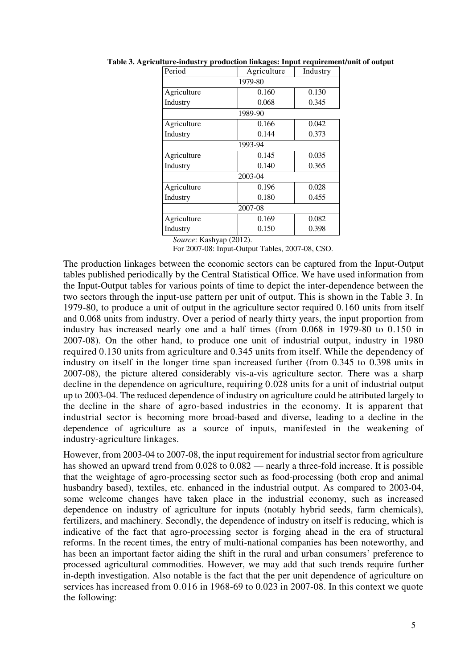| Period      | Agriculture<br>Industry |       |  |  |  |  |
|-------------|-------------------------|-------|--|--|--|--|
| 1979-80     |                         |       |  |  |  |  |
| Agriculture | 0.160<br>0.130          |       |  |  |  |  |
| Industry    | 0.068                   | 0.345 |  |  |  |  |
|             | 1989-90                 |       |  |  |  |  |
| Agriculture | 0.166                   | 0.042 |  |  |  |  |
| Industry    | 0.144                   | 0.373 |  |  |  |  |
| 1993-94     |                         |       |  |  |  |  |
| Agriculture | 0.145                   | 0.035 |  |  |  |  |
| Industry    | 0.140                   | 0.365 |  |  |  |  |
| 2003-04     |                         |       |  |  |  |  |
| Agriculture | 0.196                   | 0.028 |  |  |  |  |
| Industry    | 0.180                   | 0.455 |  |  |  |  |
| 2007-08     |                         |       |  |  |  |  |
| Agriculture | 0.169                   | 0.082 |  |  |  |  |
| Industry    | 0.150                   | 0.398 |  |  |  |  |

**Table 3. Agriculture-industry production linkages: Input requirement/unit of output** 

*Source*: Kashyap (2012).

For 2007-08: Input-Output Tables, 2007-08, CSO.

The production linkages between the economic sectors can be captured from the Input-Output tables published periodically by the Central Statistical Office. We have used information from the Input-Output tables for various points of time to depict the inter-dependence between the two sectors through the input-use pattern per unit of output. This is shown in the Table 3. In 1979-80, to produce a unit of output in the agriculture sector required 0.160 units from itself and 0.068 units from industry. Over a period of nearly thirty years, the input proportion from industry has increased nearly one and a half times (from 0.068 in 1979-80 to 0.150 in 2007-08). On the other hand, to produce one unit of industrial output, industry in 1980 required 0.130 units from agriculture and 0.345 units from itself. While the dependency of industry on itself in the longer time span increased further (from 0.345 to 0.398 units in 2007-08), the picture altered considerably vis-a-vis agriculture sector. There was a sharp decline in the dependence on agriculture, requiring 0.028 units for a unit of industrial output up to 2003-04. The reduced dependence of industry on agriculture could be attributed largely to the decline in the share of agro-based industries in the economy. It is apparent that industrial sector is becoming more broad-based and diverse, leading to a decline in the dependence of agriculture as a source of inputs, manifested in the weakening of industry-agriculture linkages.

However, from 2003-04 to 2007-08, the input requirement for industrial sector from agriculture has showed an upward trend from 0.028 to 0.082 — nearly a three-fold increase. It is possible that the weightage of agro-processing sector such as food-processing (both crop and animal husbandry based), textiles, etc. enhanced in the industrial output. As compared to 2003-04, some welcome changes have taken place in the industrial economy, such as increased dependence on industry of agriculture for inputs (notably hybrid seeds, farm chemicals), fertilizers, and machinery. Secondly, the dependence of industry on itself is reducing, which is indicative of the fact that agro-processing sector is forging ahead in the era of structural reforms. In the recent times, the entry of multi-national companies has been noteworthy, and has been an important factor aiding the shift in the rural and urban consumers' preference to processed agricultural commodities. However, we may add that such trends require further in-depth investigation. Also notable is the fact that the per unit dependence of agriculture on services has increased from 0.016 in 1968-69 to 0.023 in 2007-08. In this context we quote the following: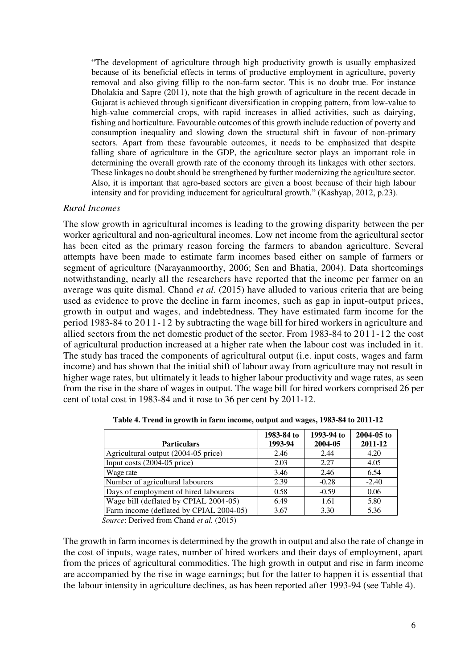"The development of agriculture through high productivity growth is usually emphasized because of its beneficial effects in terms of productive employment in agriculture, poverty removal and also giving fillip to the non-farm sector. This is no doubt true. For instance Dholakia and Sapre (2011), note that the high growth of agriculture in the recent decade in Gujarat is achieved through significant diversification in cropping pattern, from low-value to high-value commercial crops, with rapid increases in allied activities, such as dairying, fishing and horticulture. Favourable outcomes of this growth include reduction of poverty and consumption inequality and slowing down the structural shift in favour of non-primary sectors. Apart from these favourable outcomes, it needs to be emphasized that despite falling share of agriculture in the GDP, the agriculture sector plays an important role in determining the overall growth rate of the economy through its linkages with other sectors. These linkages no doubt should be strengthened by further modernizing the agriculture sector. Also, it is important that agro-based sectors are given a boost because of their high labour intensity and for providing inducement for agricultural growth." (Kashyap, 2012, p.23).

#### *Rural Incomes*

The slow growth in agricultural incomes is leading to the growing disparity between the per worker agricultural and non-agricultural incomes. Low net income from the agricultural sector has been cited as the primary reason forcing the farmers to abandon agriculture. Several attempts have been made to estimate farm incomes based either on sample of farmers or segment of agriculture (Narayanmoorthy, 2006; Sen and Bhatia, 2004). Data shortcomings notwithstanding, nearly all the researchers have reported that the income per farmer on an average was quite dismal. Chand *et al.* (2015) have alluded to various criteria that are being used as evidence to prove the decline in farm incomes, such as gap in input-output prices, growth in output and wages, and indebtedness. They have estimated farm income for the period 1983-84 to 2011-12 by subtracting the wage bill for hired workers in agriculture and allied sectors from the net domestic product of the sector. From 1983-84 to 2011-12 the cost of agricultural production increased at a higher rate when the labour cost was included in it. The study has traced the components of agricultural output (i.e. input costs, wages and farm income) and has shown that the initial shift of labour away from agriculture may not result in higher wage rates, but ultimately it leads to higher labour productivity and wage rates, as seen from the rise in the share of wages in output. The wage bill for hired workers comprised 26 per cent of total cost in 1983-84 and it rose to 36 per cent by 2011-12.

| <b>Particulars</b>                      | 1983-84 to<br>1993-94 | 1993-94 to<br>2004-05 | $2004 - 05$ to<br>2011-12 |
|-----------------------------------------|-----------------------|-----------------------|---------------------------|
| Agricultural output (2004-05 price)     | 2.46                  | 2.44                  | 4.20                      |
| Input costs (2004-05 price)             | 2.03                  | 2.27                  | 4.05                      |
| Wage rate                               | 3.46                  | 2.46                  | 6.54                      |
| Number of agricultural labourers        | 2.39                  | $-0.28$               | $-2.40$                   |
| Days of employment of hired labourers   | 0.58                  | $-0.59$               | 0.06                      |
| Wage bill (deflated by CPIAL 2004-05)   | 6.49                  | 1.61                  | 5.80                      |
| Farm income (deflated by CPIAL 2004-05) | 3.67                  | 3.30                  | 5.36                      |

 **Table 4. Trend in growth in farm income, output and wages, 1983-84 to 2011-12**

*Source*: Derived from Chand *et al.* (2015)

The growth in farm incomes is determined by the growth in output and also the rate of change in the cost of inputs, wage rates, number of hired workers and their days of employment, apart from the prices of agricultural commodities. The high growth in output and rise in farm income are accompanied by the rise in wage earnings; but for the latter to happen it is essential that the labour intensity in agriculture declines, as has been reported after 1993-94 (see Table 4).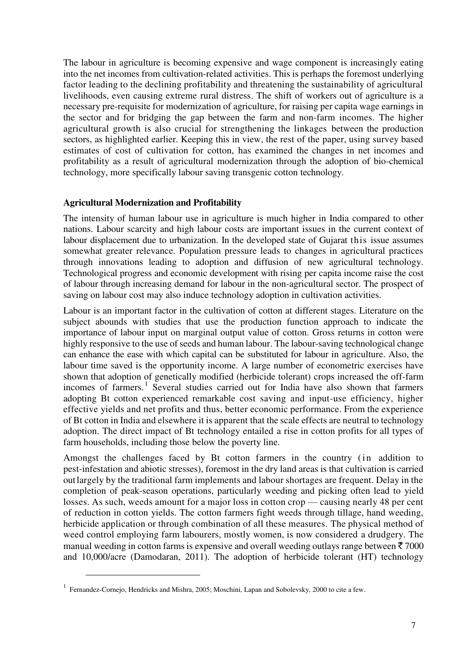The labour in agriculture is becoming expensive and wage component is increasingly eating into the net incomes from cultivation-related activities. This is perhaps the foremost underlying factor leading to the declining profitability and threatening the sustainability of agricultural livelihoods, even causing extreme rural distress. The shift of workers out of agriculture is a necessary pre-requisite for modernization of agriculture, for raising per capita wage earnings in the sector and for bridging the gap between the farm and non-farm incomes. The higher agricultural growth is also crucial for strengthening the linkages between the production sectors, as highlighted earlier. Keeping this in view, the rest of the paper, using survey based estimates of cost of cultivation for cotton, has examined the changes in net incomes and profitability as a result of agricultural modernization through the adoption of bio-chemical technology, more specifically labour saving transgenic cotton technology.

## **Agricultural Modernization and Profitability**

The intensity of human labour use in agriculture is much higher in India compared to other nations. Labour scarcity and high labour costs are important issues in the current context of labour displacement due to urbanization. In the developed state of Gujarat this issue assumes somewhat greater relevance. Population pressure leads to changes in agricultural practices through innovations leading to adoption and diffusion of new agricultural technology. Technological progress and economic development with rising per capita income raise the cost of labour through increasing demand for labour in the non-agricultural sector. The prospect of saving on labour cost may also induce technology adoption in cultivation activities.

Labour is an important factor in the cultivation of cotton at different stages. Literature on the subject abounds with studies that use the production function approach to indicate the importance of labour input on marginal output value of cotton. Gross returns in cotton were highly responsive to the use of seeds and human labour. The labour-saving technological change can enhance the ease with which capital can be substituted for labour in agriculture. Also, the labour time saved is the opportunity income. A large number of econometric exercises have shown that adoption of genetically modified (herbicide tolerant) crops increased the off-farm incomes of farmers.<sup>1</sup> Several studies carried out for India have also shown that farmers adopting Bt cotton experienced remarkable cost saving and input-use efficiency, higher effective yields and net profits and thus, better economic performance. From the experience of Bt cotton in India and elsewhere it is apparent that the scale effects are neutral to technology adoption. The direct impact of Bt technology entailed a rise in cotton profits for all types of farm households, including those below the poverty line.

Amongst the challenges faced by Bt cotton farmers in the country (in addition to pest-infestation and abiotic stresses), foremost in the dry land areas is that cultivation is carried outlargely by the traditional farm implements and labour shortages are frequent. Delay in the completion of peak-season operations, particularly weeding and picking often lead to yield losses. As such, weeds amount for a major loss in cotton crop — causing nearly 48 per cent of reduction in cotton yields. The cotton farmers fight weeds through tillage, hand weeding, herbicide application or through combination of all these measures. The physical method of weed control employing farm labourers, mostly women, is now considered a drudgery. The manual weeding in cotton farms is expensive and overall weeding outlays range between  $\bar{\tau}$  7000 and 10,000/acre (Damodaran, 2011). The adoption of herbicide tolerant (HT) technology

<u>.</u>

<sup>&</sup>lt;sup>1</sup> Fernandez-Cornejo, Hendricks and Mishra, 2005; Moschini, Lapan and Sobolevsky, 2000 to cite a few.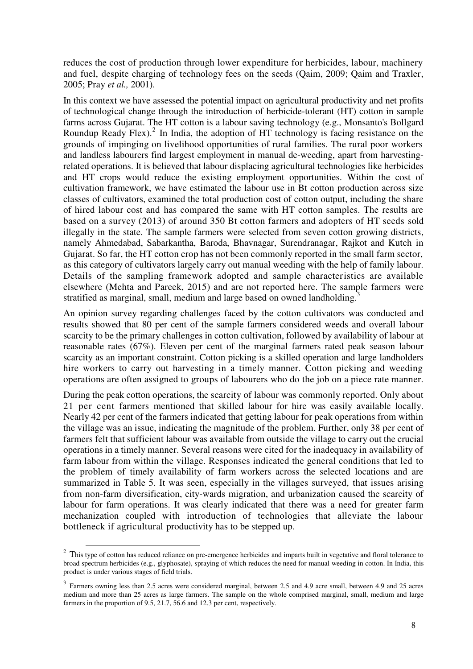reduces the cost of production through lower expenditure for herbicides, labour, machinery and fuel, despite charging of technology fees on the seeds (Qaim, 2009; Qaim and Traxler, 2005; Pray *et al.,* 2001).

In this context we have assessed the potential impact on agricultural productivity and net profits of technological change through the introduction of herbicide-tolerant (HT) cotton in sample farms across Gujarat. The HT cotton is a labour saving technology (e.g., Monsanto's Bollgard Roundup Ready Flex).<sup>2</sup> In India, the adoption of HT technology is facing resistance on the grounds of impinging on livelihood opportunities of rural families. The rural poor workers and landless labourers find largest employment in manual de-weeding, apart from harvestingrelated operations. It is believed that labour displacing agricultural technologies like herbicides and HT crops would reduce the existing employment opportunities. Within the cost of cultivation framework, we have estimated the labour use in Bt cotton production across size classes of cultivators, examined the total production cost of cotton output, including the share of hired labour cost and has compared the same with HT cotton samples. The results are based on a survey (2013) of around 350 Bt cotton farmers and adopters of HT seeds sold illegally in the state. The sample farmers were selected from seven cotton growing districts, namely Ahmedabad, Sabarkantha, Baroda, Bhavnagar, Surendranagar, Rajkot and Kutch in Gujarat. So far, the HT cotton crop has not been commonly reported in the small farm sector, as this category of cultivators largely carry out manual weeding with the help of family labour. Details of the sampling framework adopted and sample characteristics are available elsewhere (Mehta and Pareek, 2015) and are not reported here. The sample farmers were stratified as marginal, small, medium and large based on owned landholding.<sup>3</sup>

An opinion survey regarding challenges faced by the cotton cultivators was conducted and results showed that 80 per cent of the sample farmers considered weeds and overall labour scarcity to be the primary challenges in cotton cultivation, followed by availability of labour at reasonable rates (67%). Eleven per cent of the marginal farmers rated peak season labour scarcity as an important constraint. Cotton picking is a skilled operation and large landholders hire workers to carry out harvesting in a timely manner. Cotton picking and weeding operations are often assigned to groups of labourers who do the job on a piece rate manner.

During the peak cotton operations, the scarcity of labour was commonly reported. Only about 21 per cent farmers mentioned that skilled labour for hire was easily available locally. Nearly 42 per cent of the farmers indicated that getting labour for peak operations from within the village was an issue, indicating the magnitude of the problem. Further, only 38 per cent of farmers felt that sufficient labour was available from outside the village to carry out the crucial operations in a timely manner. Several reasons were cited for the inadequacy in availability of farm labour from within the village. Responses indicated the general conditions that led to the problem of timely availability of farm workers across the selected locations and are summarized in Table 5. It was seen, especially in the villages surveyed, that issues arising from non-farm diversification, city-wards migration, and urbanization caused the scarcity of labour for farm operations. It was clearly indicated that there was a need for greater farm mechanization coupled with introduction of technologies that alleviate the labour bottleneck if agricultural productivity has to be stepped up.

-

 $2$  This type of cotton has reduced reliance on pre-emergence herbicides and imparts built in vegetative and floral tolerance to broad spectrum herbicides (e.g., glyphosate), spraying of which reduces the need for manual weeding in cotton. In India, this product is under various stages of field trials.

 $3$  Farmers owning less than 2.5 acres were considered marginal, between 2.5 and 4.9 acre small, between 4.9 and 25 acres medium and more than 25 acres as large farmers. The sample on the whole comprised marginal, small, medium and large farmers in the proportion of 9.5, 21.7, 56.6 and 12.3 per cent, respectively.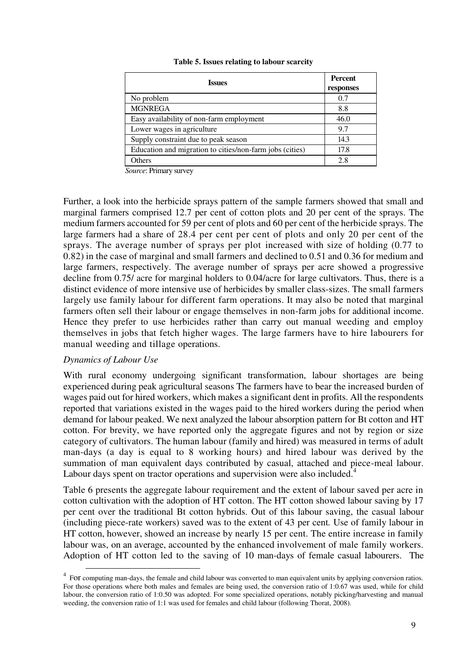| <b>Issues</b>                                            | <b>Percent</b><br>responses |
|----------------------------------------------------------|-----------------------------|
| No problem                                               | 0.7                         |
| <b>MGNREGA</b>                                           | 8.8                         |
| Easy availability of non-farm employment                 | 46.0                        |
| Lower wages in agriculture                               | 9.7                         |
| Supply constraint due to peak season                     | 14.3                        |
| Education and migration to cities/non-farm jobs (cities) | 17.8                        |
| Others                                                   | 2.8                         |

#### **Table 5. Issues relating to labour scarcity**

*Source*: Primary survey

Further, a look into the herbicide sprays pattern of the sample farmers showed that small and marginal farmers comprised 12.7 per cent of cotton plots and 20 per cent of the sprays. The medium farmers accounted for 59 per cent of plots and 60 per cent of the herbicide sprays. The large farmers had a share of 28.4 per cent per cent of plots and only 20 per cent of the sprays. The average number of sprays per plot increased with size of holding (0.77 to 0.82) in the case of marginal and small farmers and declined to 0.51 and 0.36 for medium and large farmers, respectively. The average number of sprays per acre showed a progressive decline from 0.75/ acre for marginal holders to 0.04/acre for large cultivators. Thus, there is a distinct evidence of more intensive use of herbicides by smaller class-sizes. The small farmers largely use family labour for different farm operations. It may also be noted that marginal farmers often sell their labour or engage themselves in non-farm jobs for additional income. Hence they prefer to use herbicides rather than carry out manual weeding and employ themselves in jobs that fetch higher wages. The large farmers have to hire labourers for manual weeding and tillage operations.

## *Dynamics of Labour Use*

<u>.</u>

With rural economy undergoing significant transformation, labour shortages are being experienced during peak agricultural seasons The farmers have to bear the increased burden of wages paid out for hired workers, which makes a significant dent in profits. All the respondents reported that variations existed in the wages paid to the hired workers during the period when demand for labour peaked. We next analyzed the labour absorption pattern for Bt cotton and HT cotton. For brevity, we have reported only the aggregate figures and not by region or size category of cultivators. The human labour (family and hired) was measured in terms of adult man-days (a day is equal to 8 working hours) and hired labour was derived by the summation of man equivalent days contributed by casual, attached and piece-meal labour. Labour days spent on tractor operations and supervision were also included.<sup>4</sup>

Table 6 presents the aggregate labour requirement and the extent of labour saved per acre in cotton cultivation with the adoption of HT cotton. The HT cotton showed labour saving by 17 per cent over the traditional Bt cotton hybrids. Out of this labour saving, the casual labour (including piece-rate workers) saved was to the extent of 43 per cent*.* Use of family labour in HT cotton, however, showed an increase by nearly 15 per cent. The entire increase in family labour was, on an average, accounted by the enhanced involvement of male family workers. Adoption of HT cotton led to the saving of 10 man-days of female casual labourers. The

<sup>&</sup>lt;sup>4</sup> FOT computing man-days, the female and child labour was converted to man equivalent units by applying conversion ratios. For those operations where both males and females are being used, the conversion ratio of 1:0.67 was used, while for child labour, the conversion ratio of 1:0.50 was adopted. For some specialized operations, notably picking/harvesting and manual weeding, the conversion ratio of 1:1 was used for females and child labour (following Thorat, 2008).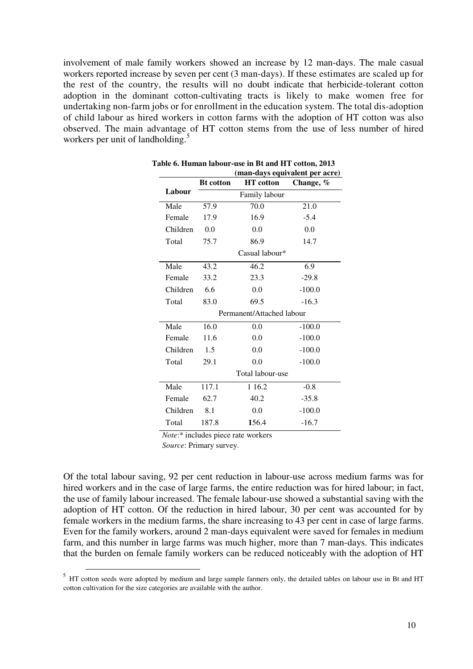involvement of male family workers showed an increase by 12 man-days. The male casual workers reported increase by seven per cent (3 man-days). If these estimates are scaled up for the rest of the country, the results will no doubt indicate that herbicide-tolerant cotton adoption in the dominant cotton-cultivating tracts is likely to make women free for undertaking non-farm jobs or for enrollment in the education system. The total dis-adoption of child labour as hired workers in cotton farms with the adoption of HT cotton was also observed. The main advantage of HT cotton stems from the use of less number of hired workers per unit of landholding.<sup>5</sup>

|          | (man-days equivalent per acre) |                  |           |  |  |  |
|----------|--------------------------------|------------------|-----------|--|--|--|
|          | <b>Bt</b> cotton               | <b>HT</b> cotton | Change, % |  |  |  |
| Labour   |                                | Family labour    |           |  |  |  |
| Male     | 57.9                           | 70.0             | 21.0      |  |  |  |
| Female   | 17.9                           | 16.9             | $-5.4$    |  |  |  |
| Children | 0.0                            | 0.0              | 0.0       |  |  |  |
| Total    | 75.7                           | 86.9             | 14.7      |  |  |  |
|          |                                | Casual labour*   |           |  |  |  |
| Male     | 43.2                           | 46.2             | 6.9       |  |  |  |
| Female   | 33.2                           | 23.3             | $-29.8$   |  |  |  |
| Children | 6.6                            | 0.0              | $-100.0$  |  |  |  |
| Total    | 83.0                           | 69.5             | $-16.3$   |  |  |  |
|          | Permanent/Attached labour      |                  |           |  |  |  |
| Male     | 16.0                           | 0.0              | $-100.0$  |  |  |  |
| Female   | 11.6                           | 0.0              | $-100.0$  |  |  |  |
| Children | 1.5                            | 0.0              | $-100.0$  |  |  |  |
| Total    | 29.1                           | 0.0              | $-100.0$  |  |  |  |
|          | Total labour-use               |                  |           |  |  |  |
| Male     | 117.1                          | 1 1 6.2          | $-0.8$    |  |  |  |
| Female   | 62.7                           | 40.2             | $-35.8$   |  |  |  |
| Children | 8.1                            | 0.0              | $-100.0$  |  |  |  |
| Total    | 187.8                          | 156.4            | $-16.7$   |  |  |  |
|          |                                |                  |           |  |  |  |

**Table 6. Human labour-use in Bt and HT cotton, 2013** 

*Note*:\* includes piece rate workers

*Source*: Primary survey.

<u>.</u>

Of the total labour saving, 92 per cent reduction in labour-use across medium farms was for hired workers and in the case of large farms, the entire reduction was for hired labour; in fact, the use of family labour increased. The female labour-use showed a substantial saving with the adoption of HT cotton. Of the reduction in hired labour, 30 per cent was accounted for by female workers in the medium farms, the share increasing to 43 per cent in case of large farms. Even for the family workers, around 2 man-days equivalent were saved for females in medium farm, and this number in large farms was much higher, more than 7 man-days. This indicates that the burden on female family workers can be reduced noticeably with the adoption of HT

<sup>&</sup>lt;sup>5</sup> HT cotton seeds were adopted by medium and large sample farmers only, the detailed tables on labour use in Bt and HT cotton cultivation for the size categories are available with the author.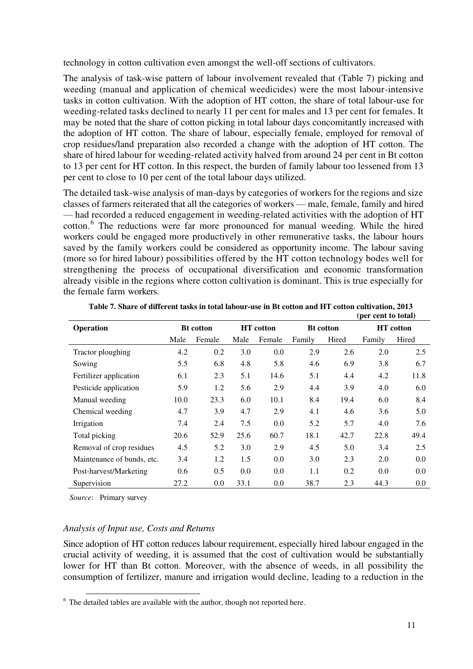technology in cotton cultivation even amongst the well-off sections of cultivators.

The analysis of task-wise pattern of labour involvement revealed that (Table 7) picking and weeding (manual and application of chemical weedicides) were the most labour-intensive tasks in cotton cultivation. With the adoption of HT cotton, the share of total labour-use for weeding-related tasks declined to nearly 11 per cent for males and 13 per cent for females. It may be noted that the share of cotton picking in total labour days concomitantly increased with the adoption of HT cotton. The share of labour, especially female, employed for removal of crop residues/land preparation also recorded a change with the adoption of HT cotton. The share of hired labour for weeding-related activity halved from around 24 per cent in Bt cotton to 13 per cent for HT cotton. In this respect, the burden of family labour too lessened from 13 per cent to close to 10 per cent of the total labour days utilized.

The detailed task-wise analysis of man-days by categories of workers for the regions and size classes of farmers reiterated that all the categories of workers — male, female, family and hired — had recorded a reduced engagement in weeding-related activities with the adoption of HT cotton.<sup>6</sup> The reductions were far more pronounced for manual weeding. While the hired workers could be engaged more productively in other remunerative tasks, the labour hours saved by the family workers could be considered as opportunity income. The labour saving (more so for hired labour) possibilities offered by the HT cotton technology bodes well for strengthening the process of occupational diversification and economic transformation already visible in the regions where cotton cultivation is dominant. This is true especially for the female farm workers.

|                            |      |                  |      |                  |                  |       | $(\mu \nu)$ come to tome! |                  |
|----------------------------|------|------------------|------|------------------|------------------|-------|---------------------------|------------------|
| Operation                  |      | <b>Bt</b> cotton |      | <b>HT</b> cotton | <b>Bt</b> cotton |       |                           | <b>HT</b> cotton |
|                            | Male | Female           | Male | Female           | Family           | Hired | Family                    | Hired            |
| Tractor ploughing          | 4.2  | 0.2              | 3.0  | 0.0              | 2.9              | 2.6   | 2.0                       | 2.5              |
| Sowing                     | 5.5  | 6.8              | 4.8  | 5.8              | 4.6              | 6.9   | 3.8                       | 6.7              |
| Fertilizer application     | 6.1  | 2.3              | 5.1  | 14.6             | 5.1              | 4.4   | 4.2                       | 11.8             |
| Pesticide application      | 5.9  | 1.2              | 5.6  | 2.9              | 4.4              | 3.9   | 4.0                       | 6.0              |
| Manual weeding             | 10.0 | 23.3             | 6.0  | 10.1             | 8.4              | 19.4  | 6.0                       | 8.4              |
| Chemical weeding           | 4.7  | 3.9              | 4.7  | 2.9              | 4.1              | 4.6   | 3.6                       | 5.0              |
| Irrigation                 | 7.4  | 2.4              | 7.5  | 0.0              | 5.2              | 5.7   | 4.0                       | 7.6              |
| Total picking              | 20.6 | 52.9             | 25.6 | 60.7             | 18.1             | 42.7  | 22.8                      | 49.4             |
| Removal of crop residues   | 4.5  | 5.2              | 3.0  | 2.9              | 4.5              | 5.0   | 3.4                       | 2.5              |
| Maintenance of bunds, etc. | 3.4  | 1.2              | 1.5  | 0.0              | 3.0              | 2.3   | 2.0                       | 0.0              |
| Post-harvest/Marketing     | 0.6  | 0.5              | 0.0  | 0.0              | 1.1              | 0.2   | 0.0                       | 0.0              |
| Supervision                | 27.2 | 0.0              | 33.1 | 0.0              | 38.7             | 2.3   | 44.3                      | 0.0              |

**Table 7. Share of different tasks in total labour-use in Bt cotton and HT cotton cultivation, 2013 (per cent to total)** 

*Source*: Primary survey

## *Analysis of Input use, Costs and Returns*

Since adoption of HT cotton reduces labour requirement, especially hired labour engaged in the crucial activity of weeding, it is assumed that the cost of cultivation would be substantially lower for HT than Bt cotton. Moreover, with the absence of weeds, in all possibility the consumption of fertilizer, manure and irrigation would decline, leading to a reduction in the

<sup>&</sup>lt;sup>6</sup> The detailed tables are available with the author, though not reported here.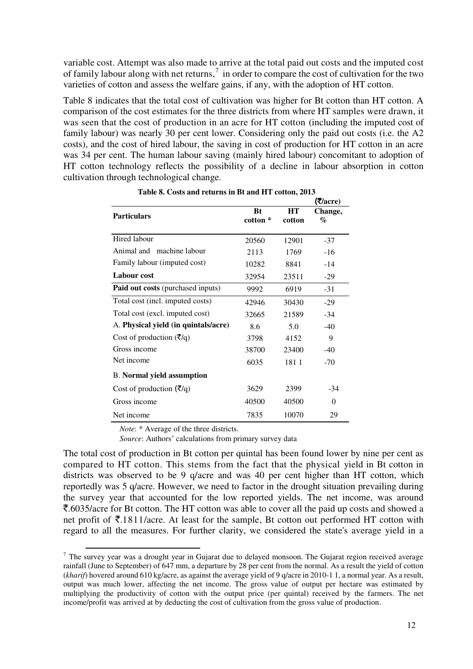variable cost. Attempt was also made to arrive at the total paid out costs and the imputed cost of family labour along with net returns,<sup>7</sup> in order to compare the cost of cultivation for the two varieties of cotton and assess the welfare gains, if any, with the adoption of HT cotton.

Table 8 indicates that the total cost of cultivation was higher for Bt cotton than HT cotton. A comparison of the cost estimates for the three districts from where HT samples were drawn, it was seen that the cost of production in an acre for HT cotton (including the imputed cost of family labour) was nearly 30 per cent lower. Considering only the paid out costs (i.e. the A2 costs), and the cost of hired labour, the saving in cost of production for HT cotton in an acre was 34 per cent. The human labour saving (mainly hired labour) concomitant to adoption of HT cotton technology reflects the possibility of a decline in labour absorption in cotton cultivation through technological change.

|                                           |                       |              | (₹/acre)     |
|-------------------------------------------|-----------------------|--------------|--------------|
| <b>Particulars</b>                        | <b>Bt</b><br>cotton * | HT<br>cotton | Change,<br>% |
| Hired labour                              | 20560                 | 12901        | $-37$        |
| Animal and machine labour                 | 2113                  | 1769         | $-16$        |
| Family labour (imputed cost)              | 10282                 | 8841         | $-14$        |
| Labour cost                               | 32954                 | 23511        | $-29$        |
| Paid out costs (purchased inputs)         | 9992                  | 6919         | $-31$        |
| Total cost (incl. imputed costs)          | 42946                 | 30430        | $-29$        |
| Total cost (excl. imputed cost)           | 32665                 | 21589        | $-34$        |
| A. Physical yield (in quintals/acre)      | 8.6                   | 5.0          | $-40$        |
| Cost of production $(\overline{\zeta}/q)$ | 3798                  | 4152         | 9            |
| Gross income                              | 38700                 | 23400        | $-40$        |
| Net income                                | 6035                  | 1811         | $-70$        |
| <b>B.</b> Normal yield assumption         |                       |              |              |
| Cost of production $(\bar{\zeta}/q)$      | 3629                  | 2399         | $-34$        |
| Gross income                              | 40500                 | 40500        | $\Omega$     |
| Net income                                | 7835                  | 10070        | 29           |

 **Table 8. Costs and returns in Bt and HT cotton, 2013** 

*Note*: \* Average of the three districts.

Source: Authors' calculations from primary survey data

The total cost of production in Bt cotton per quintal has been found lower by nine per cent as compared to HT cotton. This stems from the fact that the physical yield in Bt cotton in districts was observed to be 9 q/acre and was 40 per cent higher than HT cotton, which reportedly was 5 q/acre. However, we need to factor in the drought situation prevailing during the survey year that accounted for the low reported yields. The net income, was around `.6035/acre for Bt cotton. The HT cotton was able to cover all the paid up costs and showed a net profit of  $\bar{\tau}$ .1811/acre. At least for the sample, Bt cotton out performed HT cotton with regard to all the measures. For further clarity, we considered the state's average yield in a

<sup>&</sup>lt;sup>7</sup> The survey year was a drought year in Gujarat due to delayed monsoon. The Gujarat region received average rainfall (June to September) of 647 mm, a departure by 28 per cent from the normal. As a result the yield of cotton (*kharif*) hovered around 610 kg/acre, as against the average yield of 9 q/acre in 2010-1 1, a normal year. As a result, output was much lower, affecting the net income. The gross value of output per hectare was estimated by multiplying the productivity of cotton with the output price (per quintal) received by the farmers. The net income/profit was arrived at by deducting the cost of cultivation from the gross value of production.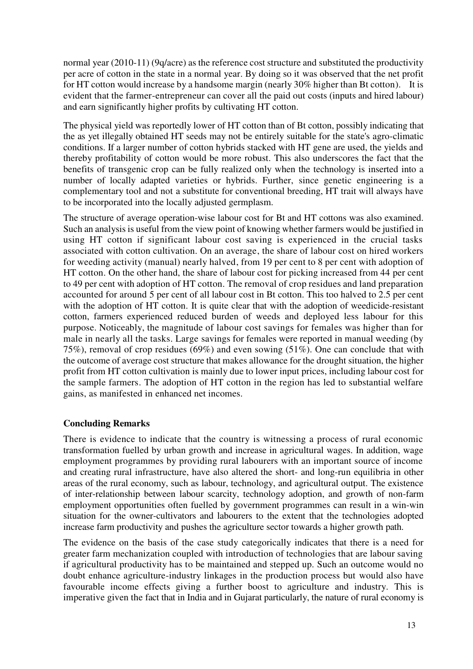normal year (2010-11) (9q/acre) as the reference cost structure and substituted the productivity per acre of cotton in the state in a normal year. By doing so it was observed that the net profit for HT cotton would increase by a handsome margin (nearly 30% higher than Bt cotton). It is evident that the farmer-entrepreneur can cover all the paid out costs (inputs and hired labour) and earn significantly higher profits by cultivating HT cotton.

The physical yield was reportedly lower of HT cotton than of Bt cotton, possibly indicating that the as yet illegally obtained HT seeds may not be entirely suitable for the state's agro-climatic conditions. If a larger number of cotton hybrids stacked with HT gene are used, the yields and thereby profitability of cotton would be more robust. This also underscores the fact that the benefits of transgenic crop can be fully realized only when the technology is inserted into a number of locally adapted varieties or hybrids. Further, since genetic engineering is a complementary tool and not a substitute for conventional breeding, HT trait will always have to be incorporated into the locally adjusted germplasm.

The structure of average operation-wise labour cost for Bt and HT cottons was also examined. Such an analysis is useful from the view point of knowing whether farmers would be justified in using HT cotton if significant labour cost saving is experienced in the crucial tasks associated with cotton cultivation. On an average, the share of labour cost on hired workers for weeding activity (manual) nearly halved, from 19 per cent to 8 per cent with adoption of HT cotton. On the other hand, the share of labour cost for picking increased from 44 per cent to 49 per cent with adoption of HT cotton. The removal of crop residues and land preparation accounted for around 5 per cent of all labour cost in Bt cotton. This too halved to 2.5 per cent with the adoption of HT cotton. It is quite clear that with the adoption of weedicide-resistant cotton, farmers experienced reduced burden of weeds and deployed less labour for this purpose. Noticeably, the magnitude of labour cost savings for females was higher than for male in nearly all the tasks. Large savings for females were reported in manual weeding (by 75%), removal of crop residues (69%) and even sowing (51%). One can conclude that with the outcome of average cost structure that makes allowance for the drought situation, the higher profit from HT cotton cultivation is mainly due to lower input prices, including labour cost for the sample farmers. The adoption of HT cotton in the region has led to substantial welfare gains, as manifested in enhanced net incomes.

## **Concluding Remarks**

There is evidence to indicate that the country is witnessing a process of rural economic transformation fuelled by urban growth and increase in agricultural wages. In addition, wage employment programmes by providing rural labourers with an important source of income and creating rural infrastructure, have also altered the short- and long-run equilibria in other areas of the rural economy, such as labour, technology, and agricultural output. The existence of inter-relationship between labour scarcity, technology adoption, and growth of non-farm employment opportunities often fuelled by government programmes can result in a win-win situation for the owner-cultivators and labourers to the extent that the technologies adopted increase farm productivity and pushes the agriculture sector towards a higher growth path.

The evidence on the basis of the case study categorically indicates that there is a need for greater farm mechanization coupled with introduction of technologies that are labour saving if agricultural productivity has to be maintained and stepped up. Such an outcome would no doubt enhance agriculture-industry linkages in the production process but would also have favourable income effects giving a further boost to agriculture and industry. This is imperative given the fact that in India and in Gujarat particularly, the nature of rural economy is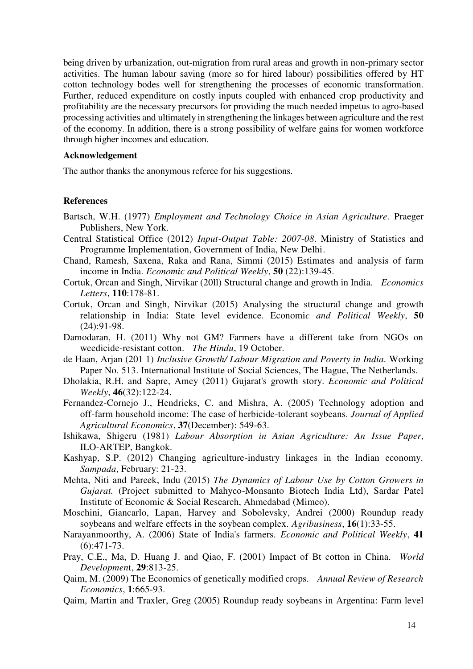being driven by urbanization, out-migration from rural areas and growth in non-primary sector activities. The human labour saving (more so for hired labour) possibilities offered by HT cotton technology bodes well for strengthening the processes of economic transformation. Further, reduced expenditure on costly inputs coupled with enhanced crop productivity and profitability are the necessary precursors for providing the much needed impetus to agro-based processing activities and ultimately in strengthening the linkages between agriculture and the rest of the economy. In addition, there is a strong possibility of welfare gains for women workforce through higher incomes and education.

#### **Acknowledgement**

The author thanks the anonymous referee for his suggestions.

## **References**

- Bartsch, W.H. (1977) *Employment and Technology Choice in Asian Agriculture*. Praeger Publishers, New York.
- Central Statistical Office (2012) *Input-Output Table: 2007-08*. Ministry of Statistics and Programme Implementation, Government of India, New Delhi.
- Chand, Ramesh, Saxena, Raka and Rana, Simmi (2015) Estimates and analysis of farm income in India. *Economic and Political Weekly*, **50** (22):139-45.
- Cortuk, Orcan and Singh, Nirvikar (20ll) Structural change and growth in India. *Economics Letters*, **110**:178-81.
- Cortuk, Orcan and Singh, Nirvikar (2015) Analysing the structural change and growth relationship in India: State level evidence. Economi*c and Political Weekly*, **50** (24):91-98.
- Damodaran, H. (2011) Why not GM? Farmers have a different take from NGOs on weedicide-resistant cotton. *The Hindu*, 19 October.
- de Haan, Arjan (201 1) *Inclusive Growth/ Labour Migration and Poverty in India.* Working Paper No. 513. International Institute of Social Sciences, The Hague, The Netherlands.
- Dholakia, R.H. and Sapre, Amey (2011) Gujarat's growth story. *Economic and Political Weekly*, **46**(32):122-24.
- Fernandez-Cornejo J., Hendricks, C. and Mishra, A. (2005) Technology adoption and off-farm household income: The case of herbicide-tolerant soybeans. *Journal of Applied Agricultural Economics*, **37**(December): 549-63.
- Ishikawa, Shigeru (1981) *Labour Absorption in Asian Agriculture: An Issue Paper*, ILO-ARTEP, Bangkok.
- Kashyap, S.P. (2012) Changing agriculture-industry linkages in the Indian economy. *Sampada*, February: 21-23.
- Mehta, Niti and Pareek, Indu (2015) *The Dynamics of Labour Use by Cotton Growers in Gujarat.* (Project submitted to Mahyco-Monsanto Biotech India Ltd), Sardar Patel Institute of Economic & Social Research, Ahmedabad (Mimeo).
- Moschini, Giancarlo, Lapan, Harvey and Sobolevsky, Andrei (2000) Roundup ready soybeans and welfare effects in the soybean complex. *Agribusiness*, **16**(1):33-55.
- Narayanmoorthy, A. (2006) State of India's farmers. *Economic and Political Weekly*, **41**  (6):471-73.
- Pray, C.E., Ma, D. Huang J. and Qiao, F. (2001) Impact of Bt cotton in China. *World Developmen*t, **29**:813-25.
- Qaim, M. (2009) The Economics of genetically modified crops. *Annual Review of Research Economics*, **1**:665-93.
- Qaim, Martin and Traxler, Greg (2005) Roundup ready soybeans in Argentina: Farm level